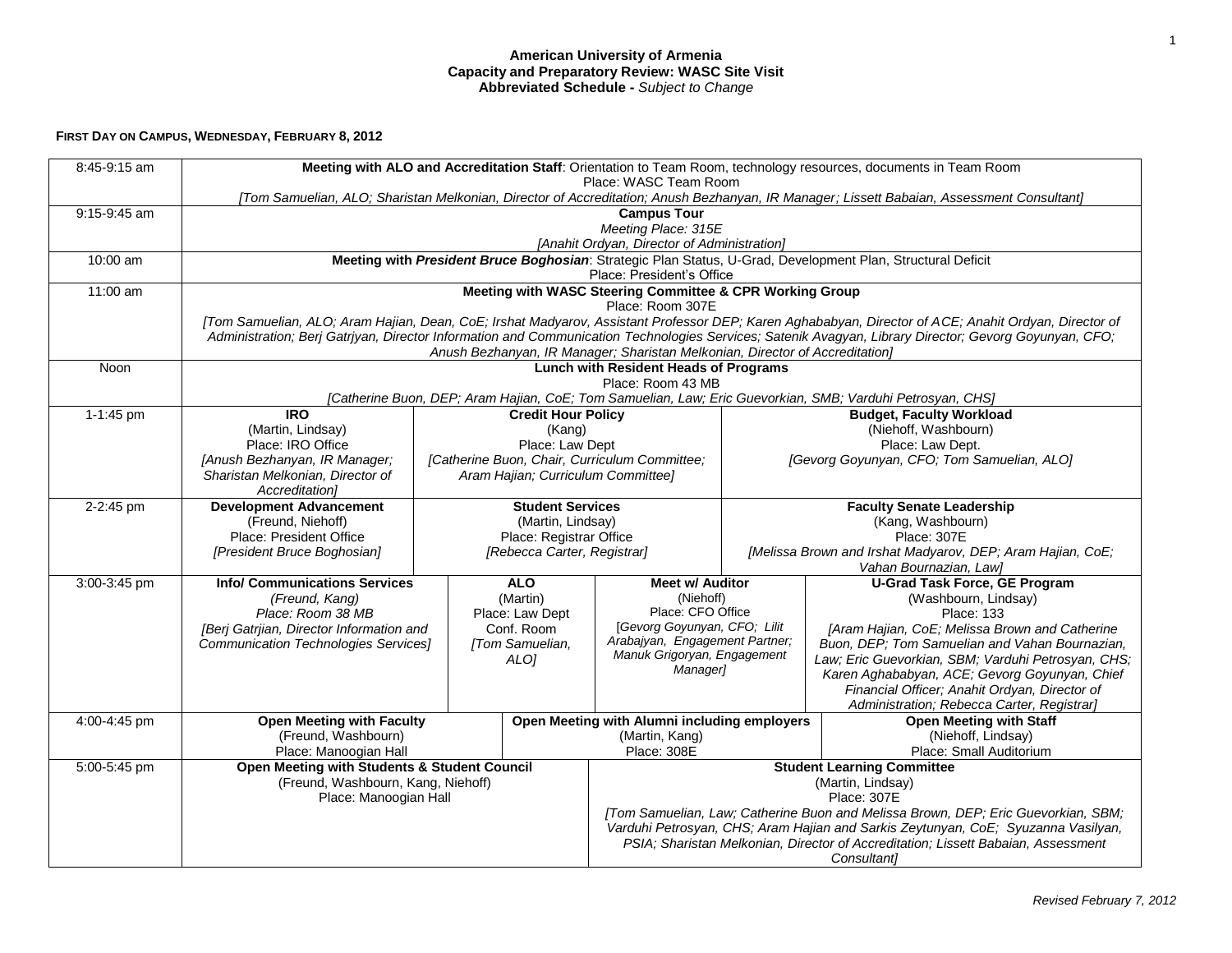## **American University of Armenia Capacity and Preparatory Review: WASC Site Visit Abbreviated Schedule -** *Subject to Change*

## **FIRST DAY ON CAMPUS, WEDNESDAY, FEBRUARY 8, 2012**

| 8:45-9:15 am | Meeting with ALO and Accreditation Staff: Orientation to Team Room, technology resources, documents in Team Room<br>Place: WASC Team Room<br>[Tom Samuelian, ALO; Sharistan Melkonian, Director of Accreditation; Anush Bezhanyan, IR Manager; Lissett Babaian, Assessment Consultant] |                           |                                                        |                                                                                   |                                                                                   |                                                                                                  |  |  |  |  |
|--------------|----------------------------------------------------------------------------------------------------------------------------------------------------------------------------------------------------------------------------------------------------------------------------------------|---------------------------|--------------------------------------------------------|-----------------------------------------------------------------------------------|-----------------------------------------------------------------------------------|--------------------------------------------------------------------------------------------------|--|--|--|--|
|              |                                                                                                                                                                                                                                                                                        |                           |                                                        |                                                                                   |                                                                                   |                                                                                                  |  |  |  |  |
| 9:15-9:45 am | <b>Campus Tour</b>                                                                                                                                                                                                                                                                     |                           |                                                        |                                                                                   |                                                                                   |                                                                                                  |  |  |  |  |
|              | Meeting Place: 315E                                                                                                                                                                                                                                                                    |                           |                                                        |                                                                                   |                                                                                   |                                                                                                  |  |  |  |  |
|              | [Anahit Ordyan, Director of Administration]                                                                                                                                                                                                                                            |                           |                                                        |                                                                                   |                                                                                   |                                                                                                  |  |  |  |  |
| 10:00 am     | Meeting with President Bruce Boghosian: Strategic Plan Status, U-Grad, Development Plan, Structural Deficit<br>Place: President's Office                                                                                                                                               |                           |                                                        |                                                                                   |                                                                                   |                                                                                                  |  |  |  |  |
| 11:00 am     | Meeting with WASC Steering Committee & CPR Working Group                                                                                                                                                                                                                               |                           |                                                        |                                                                                   |                                                                                   |                                                                                                  |  |  |  |  |
|              | Place: Room 307E                                                                                                                                                                                                                                                                       |                           |                                                        |                                                                                   |                                                                                   |                                                                                                  |  |  |  |  |
|              | [Tom Samuelian, ALO; Aram Hajian, Dean, CoE; Irshat Madyarov, Assistant Professor DEP; Karen Aghababyan, Director of ACE; Anahit Ordyan, Director of                                                                                                                                   |                           |                                                        |                                                                                   |                                                                                   |                                                                                                  |  |  |  |  |
|              | Administration; Berj Gatriyan, Director Information and Communication Technologies Services; Satenik Avagyan, Library Director; Gevorg Goyunyan, CFO;                                                                                                                                  |                           |                                                        |                                                                                   |                                                                                   |                                                                                                  |  |  |  |  |
|              | Anush Bezhanyan, IR Manager; Sharistan Melkonian, Director of Accreditation]                                                                                                                                                                                                           |                           |                                                        |                                                                                   |                                                                                   |                                                                                                  |  |  |  |  |
| Noon         | <b>Lunch with Resident Heads of Programs</b>                                                                                                                                                                                                                                           |                           |                                                        |                                                                                   |                                                                                   |                                                                                                  |  |  |  |  |
|              | Place: Room 43 MB<br>[Catherine Buon, DEP; Aram Hajian, CoE; Tom Samuelian, Law; Eric Guevorkian, SMB; Varduhi Petrosyan, CHS]                                                                                                                                                         |                           |                                                        |                                                                                   |                                                                                   |                                                                                                  |  |  |  |  |
| 1-1:45 pm    | $\overline{RQ}$                                                                                                                                                                                                                                                                        | <b>Credit Hour Policy</b> |                                                        | <b>Budget, Faculty Workload</b>                                                   |                                                                                   |                                                                                                  |  |  |  |  |
|              | (Martin, Lindsay)                                                                                                                                                                                                                                                                      | (Kang)<br>Place: Law Dept |                                                        |                                                                                   |                                                                                   | (Niehoff, Washbourn)                                                                             |  |  |  |  |
|              | Place: IRO Office                                                                                                                                                                                                                                                                      |                           |                                                        |                                                                                   |                                                                                   | Place: Law Dept.                                                                                 |  |  |  |  |
|              | [Anush Bezhanyan, IR Manager;                                                                                                                                                                                                                                                          |                           |                                                        | [Catherine Buon, Chair, Curriculum Committee;                                     |                                                                                   | [Gevorg Goyunyan, CFO; Tom Samuelian, ALO]                                                       |  |  |  |  |
|              | Sharistan Melkonian, Director of                                                                                                                                                                                                                                                       |                           | Aram Hajian; Curriculum Committee]                     |                                                                                   |                                                                                   |                                                                                                  |  |  |  |  |
|              | Accreditation1                                                                                                                                                                                                                                                                         |                           |                                                        |                                                                                   |                                                                                   |                                                                                                  |  |  |  |  |
| 2-2:45 pm    | <b>Development Advancement</b>                                                                                                                                                                                                                                                         |                           | <b>Student Services</b>                                |                                                                                   |                                                                                   | <b>Faculty Senate Leadership</b>                                                                 |  |  |  |  |
|              | (Freund, Niehoff)                                                                                                                                                                                                                                                                      |                           | (Martin, Lindsay)                                      |                                                                                   | (Kang, Washbourn)                                                                 |                                                                                                  |  |  |  |  |
|              | Place: President Office<br>[President Bruce Boghosian]                                                                                                                                                                                                                                 |                           | Place: Registrar Office<br>[Rebecca Carter, Registrar] |                                                                                   | Place: 307E<br>[Melissa Brown and Irshat Madyarov, DEP; Aram Hajian, CoE;         |                                                                                                  |  |  |  |  |
|              |                                                                                                                                                                                                                                                                                        |                           |                                                        |                                                                                   | Vahan Bournazian, Law]                                                            |                                                                                                  |  |  |  |  |
| 3:00-3:45 pm | <b>Info/ Communications Services</b>                                                                                                                                                                                                                                                   | <b>ALO</b>                |                                                        | Meet w/ Auditor                                                                   |                                                                                   | <b>U-Grad Task Force, GE Program</b>                                                             |  |  |  |  |
|              | (Freund, Kang)                                                                                                                                                                                                                                                                         |                           | (Martin)                                               | (Niehoff)                                                                         |                                                                                   | (Washbourn, Lindsay)                                                                             |  |  |  |  |
|              | Place: Room 38 MB                                                                                                                                                                                                                                                                      |                           | Place: Law Dept<br>Conf. Room                          | Place: CFO Office<br>[Gevorg Goyunyan, CFO; Lilit                                 |                                                                                   | <b>Place: 133</b>                                                                                |  |  |  |  |
|              | [Berj Gatrjian, Director Information and<br>Communication Technologies Services]                                                                                                                                                                                                       |                           | [Tom Samuelian,                                        | Arabajyan, Engagement Partner;                                                    |                                                                                   | [Aram Hajian, CoE; Melissa Brown and Catherine<br>Buon, DEP; Tom Samuelian and Vahan Bournazian, |  |  |  |  |
|              |                                                                                                                                                                                                                                                                                        |                           | ALO]                                                   | Manuk Grigoryan, Engagement                                                       |                                                                                   | Law; Eric Guevorkian, SBM; Varduhi Petrosyan, CHS;                                               |  |  |  |  |
|              |                                                                                                                                                                                                                                                                                        |                           |                                                        | Manager]                                                                          |                                                                                   | Karen Aghababyan, ACE; Gevorg Goyunyan, Chief                                                    |  |  |  |  |
|              |                                                                                                                                                                                                                                                                                        |                           |                                                        |                                                                                   |                                                                                   | Financial Officer; Anahit Ordyan, Director of                                                    |  |  |  |  |
|              |                                                                                                                                                                                                                                                                                        |                           |                                                        |                                                                                   |                                                                                   | Administration; Rebecca Carter, Registrar]                                                       |  |  |  |  |
| 4:00-4:45 pm | <b>Open Meeting with Faculty</b>                                                                                                                                                                                                                                                       |                           |                                                        | Open Meeting with Alumni including employers                                      |                                                                                   | <b>Open Meeting with Staff</b>                                                                   |  |  |  |  |
|              | (Freund, Washbourn)                                                                                                                                                                                                                                                                    |                           | (Martin, Kang)                                         |                                                                                   |                                                                                   | (Niehoff, Lindsay)                                                                               |  |  |  |  |
| 5:00-5:45 pm | Place: Manoogian Hall<br>Open Meeting with Students & Student Council                                                                                                                                                                                                                  |                           |                                                        | Place: Small Auditorium<br>Place: 308E<br><b>Student Learning Committee</b>       |                                                                                   |                                                                                                  |  |  |  |  |
|              | (Freund, Washbourn, Kang, Niehoff)                                                                                                                                                                                                                                                     |                           |                                                        | (Martin, Lindsay)                                                                 |                                                                                   |                                                                                                  |  |  |  |  |
|              | Place: Manoogian Hall                                                                                                                                                                                                                                                                  |                           |                                                        | Place: 307E                                                                       |                                                                                   |                                                                                                  |  |  |  |  |
|              |                                                                                                                                                                                                                                                                                        |                           |                                                        | [Tom Samuelian, Law; Catherine Buon and Melissa Brown, DEP; Eric Guevorkian, SBM; |                                                                                   |                                                                                                  |  |  |  |  |
|              |                                                                                                                                                                                                                                                                                        |                           |                                                        |                                                                                   | Varduhi Petrosyan, CHS; Aram Hajian and Sarkis Zeytunyan, CoE; Syuzanna Vasilyan, |                                                                                                  |  |  |  |  |
|              |                                                                                                                                                                                                                                                                                        |                           |                                                        | PSIA; Sharistan Melkonian, Director of Accreditation; Lissett Babaian, Assessment |                                                                                   |                                                                                                  |  |  |  |  |
|              |                                                                                                                                                                                                                                                                                        |                           |                                                        | <b>Consultant1</b>                                                                |                                                                                   |                                                                                                  |  |  |  |  |